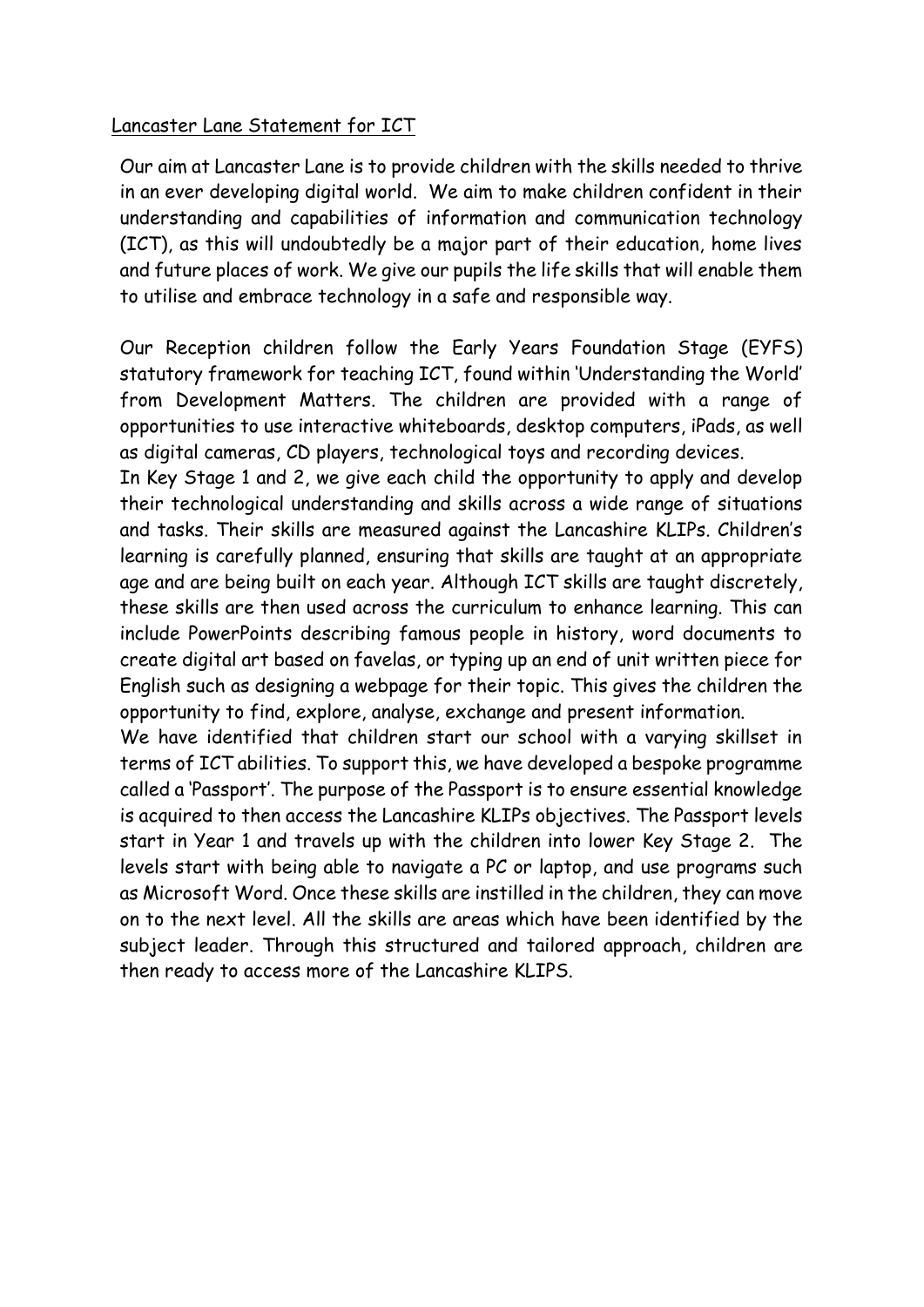## Lancaster Lane Statement for ICT

Our aim at Lancaster Lane is to provide children with the skills needed to thrive in an ever developing digital world. We aim to make children confident in their understanding and capabilities of information and communication technology (ICT), as this will undoubtedly be a major part of their education, home lives and future places of work. We give our pupils the life skills that will enable them to utilise and embrace technology in a safe and responsible way.

Our Reception children follow the Early Years Foundation Stage (EYFS) statutory framework for teaching ICT, found within 'Understanding the World' from Development Matters. The children are provided with a range of opportunities to use interactive whiteboards, desktop computers, iPads, as well as digital cameras, CD players, technological toys and recording devices.

In Key Stage 1 and 2, we give each child the opportunity to apply and develop their technological understanding and skills across a wide range of situations and tasks. Their skills are measured against the Lancashire KLIPs. Children's learning is carefully planned, ensuring that skills are taught at an appropriate age and are being built on each year. Although ICT skills are taught discretely, these skills are then used across the curriculum to enhance learning. This can include PowerPoints describing famous people in history, word documents to create digital art based on favelas, or typing up an end of unit written piece for English such as designing a webpage for their topic. This gives the children the opportunity to find, explore, analyse, exchange and present information.

We have identified that children start our school with a varying skillset in terms of ICT abilities. To support this, we have developed a bespoke programme called a 'Passport'. The purpose of the Passport is to ensure essential knowledge is acquired to then access the Lancashire KLIPs objectives. The Passport levels start in Year 1 and travels up with the children into lower Key Stage 2. The levels start with being able to navigate a PC or laptop, and use programs such as Microsoft Word. Once these skills are instilled in the children, they can move on to the next level. All the skills are areas which have been identified by the subject leader. Through this structured and tailored approach, children are then ready to access more of the Lancashire KLIPS.